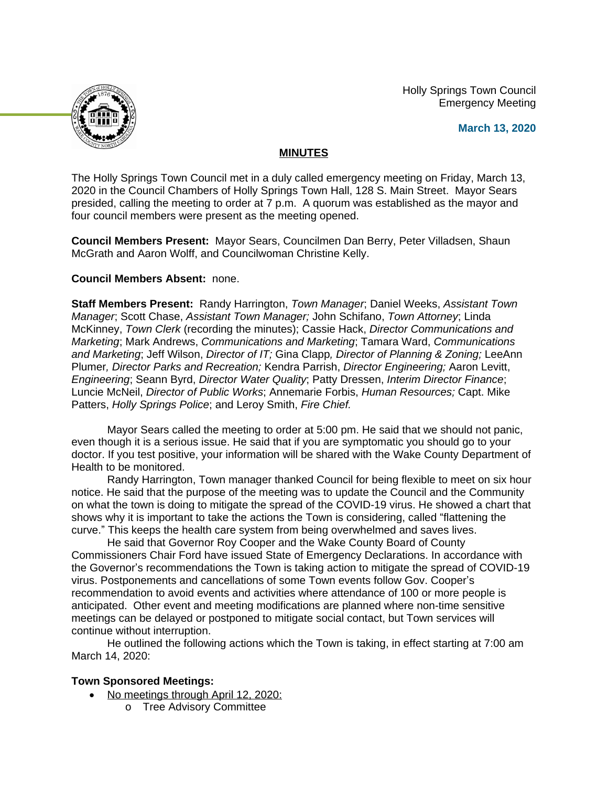Holly Springs Town Council Emergency Meeting



### **March 13, 2020**

## **MINUTES**

The Holly Springs Town Council met in a duly called emergency meeting on Friday, March 13, 2020 in the Council Chambers of Holly Springs Town Hall, 128 S. Main Street. Mayor Sears presided, calling the meeting to order at 7 p.m. A quorum was established as the mayor and four council members were present as the meeting opened.

**Council Members Present:** Mayor Sears, Councilmen Dan Berry, Peter Villadsen, Shaun McGrath and Aaron Wolff, and Councilwoman Christine Kelly.

## **Council Members Absent:** none.

**Staff Members Present:** Randy Harrington, *Town Manager*; Daniel Weeks, *Assistant Town Manager*; Scott Chase, *Assistant Town Manager;* John Schifano, *Town Attorney*; Linda McKinney, *Town Clerk* (recording the minutes); Cassie Hack, *Director Communications and Marketing*; Mark Andrews, *Communications and Marketing*; Tamara Ward, *Communications and Marketing*; Jeff Wilson, *Director of IT;* Gina Clapp*, Director of Planning & Zoning;* LeeAnn Plumer*, Director Parks and Recreation;* Kendra Parrish, *Director Engineering;* Aaron Levitt, *Engineering*; Seann Byrd, *Director Water Quality*; Patty Dressen, *Interim Director Finance*; Luncie McNeil, *Director of Public Works*; Annemarie Forbis, *Human Resources;* Capt. Mike Patters, *Holly Springs Police*; and Leroy Smith, *Fire Chief.*

Mayor Sears called the meeting to order at 5:00 pm. He said that we should not panic, even though it is a serious issue. He said that if you are symptomatic you should go to your doctor. If you test positive, your information will be shared with the Wake County Department of Health to be monitored.

Randy Harrington, Town manager thanked Council for being flexible to meet on six hour notice. He said that the purpose of the meeting was to update the Council and the Community on what the town is doing to mitigate the spread of the COVID-19 virus. He showed a chart that shows why it is important to take the actions the Town is considering, called "flattening the curve." This keeps the health care system from being overwhelmed and saves lives.

He said that Governor Roy Cooper and the Wake County Board of County Commissioners Chair Ford have issued State of Emergency Declarations. In accordance with the Governor's recommendations the Town is taking action to mitigate the spread of COVID-19 virus. Postponements and cancellations of some Town events follow Gov. Cooper's recommendation to avoid events and activities where attendance of 100 or more people is anticipated. Other event and meeting modifications are planned where non-time sensitive meetings can be delayed or postponed to mitigate social contact, but Town services will continue without interruption.

He outlined the following actions which the Town is taking, in effect starting at 7:00 am March 14, 2020:

# **Town Sponsored Meetings:**

- No meetings through April 12, 2020:
	- o Tree Advisory Committee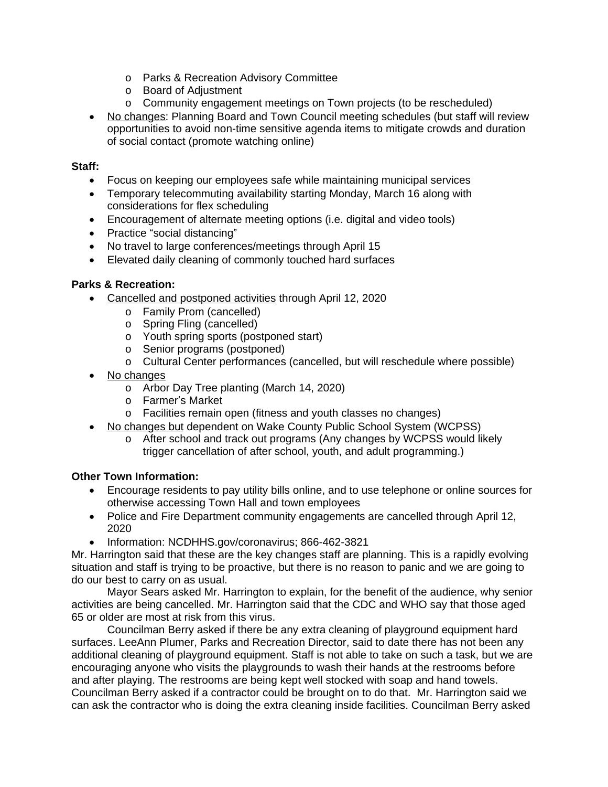- o Parks & Recreation Advisory Committee
- o Board of Adjustment
- o Community engagement meetings on Town projects (to be rescheduled)
- No changes: Planning Board and Town Council meeting schedules (but staff will review opportunities to avoid non-time sensitive agenda items to mitigate crowds and duration of social contact (promote watching online)

### **Staff:**

- Focus on keeping our employees safe while maintaining municipal services
- Temporary telecommuting availability starting Monday, March 16 along with considerations for flex scheduling
- Encouragement of alternate meeting options (i.e. digital and video tools)
- Practice "social distancing"
- No travel to large conferences/meetings through April 15
- Elevated daily cleaning of commonly touched hard surfaces

### **Parks & Recreation:**

- Cancelled and postponed activities through April 12, 2020
	- o Family Prom (cancelled)
	- o Spring Fling (cancelled)
	- o Youth spring sports (postponed start)
	- o Senior programs (postponed)
	- o Cultural Center performances (cancelled, but will reschedule where possible)
- No changes
	- o Arbor Day Tree planting (March 14, 2020)
	- o Farmer's Market
	- o Facilities remain open (fitness and youth classes no changes)
- No changes but dependent on Wake County Public School System (WCPSS)
	- o After school and track out programs (Any changes by WCPSS would likely trigger cancellation of after school, youth, and adult programming.)

#### **Other Town Information:**

- Encourage residents to pay utility bills online, and to use telephone or online sources for otherwise accessing Town Hall and town employees
- Police and Fire Department community engagements are cancelled through April 12, 2020
- Information: NCDHHS.gov/coronavirus; 866-462-3821

Mr. Harrington said that these are the key changes staff are planning. This is a rapidly evolving situation and staff is trying to be proactive, but there is no reason to panic and we are going to do our best to carry on as usual.

Mayor Sears asked Mr. Harrington to explain, for the benefit of the audience, why senior activities are being cancelled. Mr. Harrington said that the CDC and WHO say that those aged 65 or older are most at risk from this virus.

Councilman Berry asked if there be any extra cleaning of playground equipment hard surfaces. LeeAnn Plumer, Parks and Recreation Director, said to date there has not been any additional cleaning of playground equipment. Staff is not able to take on such a task, but we are encouraging anyone who visits the playgrounds to wash their hands at the restrooms before and after playing. The restrooms are being kept well stocked with soap and hand towels. Councilman Berry asked if a contractor could be brought on to do that. Mr. Harrington said we can ask the contractor who is doing the extra cleaning inside facilities. Councilman Berry asked